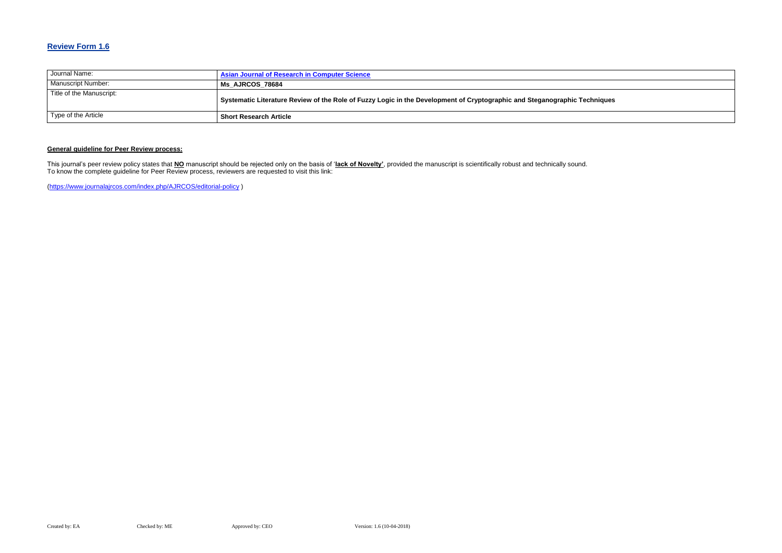# **Review Form 1.6**

| Journal Name:             | <b>Asian Journal of Research in Computer Science</b>                                                                      |
|---------------------------|---------------------------------------------------------------------------------------------------------------------------|
| <b>Manuscript Number:</b> | Ms_AJRCOS_78684                                                                                                           |
| Title of the Manuscript:  | Systematic Literature Review of the Role of Fuzzy Logic in the Development of Cryptographic and Steganographic Techniques |
| Type of the Article       | <b>Short Research Article</b>                                                                                             |

## **General guideline for Peer Review process:**

This journal's peer review policy states that **NO** manuscript should be rejected only on the basis of '**lack of Novelty'**, provided the manuscript is scientifically robust and technically sound. To know the complete guideline for Peer Review process, reviewers are requested to visit this link:

[\(https://www.journalajrcos.com/index.php/AJRCOS/editorial-policy](https://www.journalajrcos.com/index.php/AJRCOS/editorial-policy) )